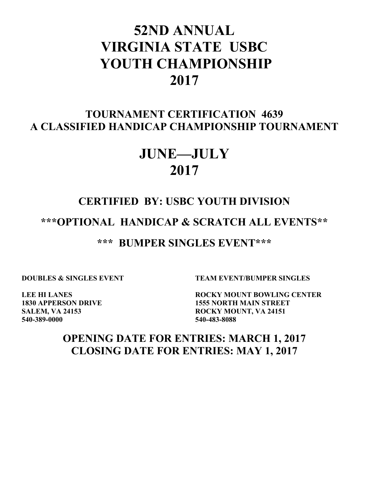# **52ND ANNUAL VIRGINIA STATE USBC YOUTH CHAMPIONSHIP 2017**

### **TOURNAMENT CERTIFICATION 4639 A CLASSIFIED HANDICAP CHAMPIONSHIP TOURNAMENT**

## **JUNE—JULY 2017**

## **CERTIFIED BY: USBC YOUTH DIVISION**

**\*\*\*OPTIONAL HANDICAP & SCRATCH ALL EVENTS\*\***

**\*\*\* BUMPER SINGLES EVENT\*\*\***

**DOUBLES & SINGLES EVENT TEAM EVENT/BUMPER SINGLES** 

**540-389-0000 540-483-8088**

**LEE HI LANES ROCKY MOUNT BOWLING CENTER 1830 APPERSON DRIVE 1555 NORTH MAIN STREET SALEM, VA 24153 ROCKY MOUNT, VA 24151** 

### **OPENING DATE FOR ENTRIES: MARCH 1, 2017 CLOSING DATE FOR ENTRIES: MAY 1, 2017**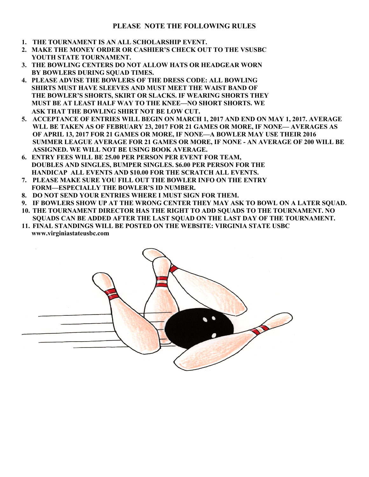#### **PLEASE NOTE THE FOLLOWING RULES**

- **1. THE TOURNAMENT IS AN ALL SCHOLARSHIP EVENT.**
- **2. MAKE THE MONEY ORDER OR CASHIER'S CHECK OUT TO THE VSUSBC YOUTH STATE TOURNAMENT.**
- **3. THE BOWLING CENTERS DO NOT ALLOW HATS OR HEADGEAR WORN BY BOWLERS DURING SQUAD TIMES.**
- **4. PLEASE ADVISE THE BOWLERS OF THE DRESS CODE: ALL BOWLING SHIRTS MUST HAVE SLEEVES AND MUST MEET THE WAIST BAND OF THE BOWLER'S SHORTS, SKIRT OR SLACKS. IF WEARING SHORTS THEY MUST BE AT LEAST HALF WAY TO THE KNEE—NO SHORT SHORTS. WE ASK THAT THE BOWLING SHIRT NOT BE LOW CUT.**
- **5. ACCEPTANCE OF ENTRIES WILL BEGIN ON MARCH 1, 2017 AND END ON MAY 1, 2017. AVERAGE WLL BE TAKEN AS OF FEBRUARY 23, 2017 FOR 21 GAMES OR MORE, IF NONE— AVERAGES AS OF APRIL 13, 2017 FOR 21 GAMES OR MORE, IF NONE—A BOWLER MAY USE THEIR 2016 SUMMER LEAGUE AVERAGE FOR 21 GAMES OR MORE, IF NONE - AN AVERAGE OF 200 WILL BE ASSIGNED. WE WILL NOT BE USING BOOK AVERAGE.**
- **6. ENTRY FEES WILL BE 25.00 PER PERSON PER EVENT FOR TEAM, DOUBLES AND SINGLES, BUMPER SINGLES. \$6.00 PER PERSON FOR THE HANDICAP ALL EVENTS AND \$10.00 FOR THE SCRATCH ALL EVENTS.**
- **7. PLEASE MAKE SURE YOU FILL OUT THE BOWLER INFO ON THE ENTRY FORM—ESPECIALLY THE BOWLER'S ID NUMBER.**
- **8. DO NOT SEND YOUR ENTRIES WHERE I MUST SIGN FOR THEM.**
- **9. IF BOWLERS SHOW UP AT THE WRONG CENTER THEY MAY ASK TO BOWL ON A LATER SQUAD.**
- **10. THE TOURNAMENT DIRECTOR HAS THE RIGHT TO ADD SQUADS TO THE TOURNAMENT. NO SQUADS CAN BE ADDED AFTER THE LAST SQUAD ON THE LAST DAY OF THE TOURNAMENT.**
- **11. FINAL STANDINGS WILL BE POSTED ON THE WEBSITE: VIRGINIA STATE USBC www.virginiastateusbc.com**

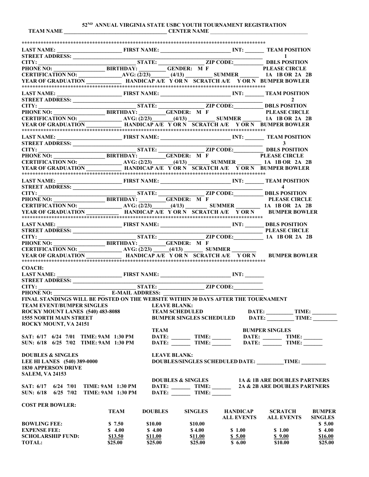**52ND ANNUAL VIRGINIA STATE USBC YOUTH TOURNAMENT REGISTRATION TEAM NAME \_\_\_\_\_\_\_\_\_\_\_\_\_\_\_\_\_\_\_\_\_\_\_\_\_\_\_\_\_\_\_\_\_\_\_\_\_\_ CENTER NAME** \_\_\_\_\_\_\_\_\_\_\_\_\_\_\_\_\_\_\_\_\_\_\_\_\_\_\_\_\_\_\_\_\_\_\_\_

**\*\*\*\*\*\*\*\*\*\*\*\*\*\*\*\*\*\*\*\*\*\*\*\*\*\*\*\*\*\*\*\*\*\*\*\*\*\*\*\*\*\*\*\*\*\*\*\*\*\*\*\*\*\*\*\*\*\*\*\*\*\*\*\*\*\*\*\*\*\*\*\*\*\*\*\*\*\*\*\*\*\*\*\*\*\*\*\*\*\* LAST NAME: \_\_\_\_\_\_\_\_\_\_\_\_\_\_\_\_\_\_\_\_\_\_\_\_ FIRST NAME: \_\_\_\_\_\_\_\_\_\_\_\_\_\_\_\_\_\_\_\_\_\_\_\_\_\_ INT: \_\_\_\_\_\_\_ TEAM POSITION STREET ADDRESS: \_\_\_\_\_\_\_\_\_\_\_\_\_\_\_\_\_\_\_\_\_\_\_\_\_\_\_\_\_\_\_\_\_\_\_\_\_\_\_\_\_\_\_\_\_\_\_\_\_\_\_\_\_\_\_\_\_\_\_\_\_\_\_\_\_\_\_\_\_\_ 1 CITY: \_\_\_\_\_\_\_\_\_\_\_\_\_\_\_\_\_\_\_\_\_\_\_\_\_\_\_\_\_\_\_\_\_\_\_\_ STATE: \_\_\_\_\_\_\_\_\_\_\_\_\_\_\_\_\_ ZIP CODE:\_\_\_\_\_\_\_\_\_\_\_ DBLS POSITION PHONE NO: \_\_\_\_\_\_\_\_\_\_\_\_\_\_\_\_\_\_\_ BIRTHDAY: \_\_\_\_\_\_\_\_\_\_ GENDER: M F PLEASE CIRCLE CERTIFICATION NO: \_\_\_\_\_\_\_\_\_\_\_\_\_\_\_\_AVG: (2/23)\_\_\_\_\_\_\_ (4/13) \_\_\_\_\_\_\_\_\_\_ SUMMER \_\_\_\_\_\_\_ 1A 1B OR 2A 2B YEAR OF GRADUATION \_\_\_\_\_\_\_\_\_\_\_\_\_ HANDICAP A/E Y OR N SCRATCH A/E Y OR N BUMPER BOWLER \*\*\*\*\*\*\*\*\*\*\*\*\*\*\*\*\*\*\*\*\*\*\*\*\*\*\*\*\*\*\*\*\*\*\*\*\*\*\*\*\*\*\*\*\*\*\*\*\*\*\*\*\*\*\*\*\*\*\*\*\*\*\*\*\*\*\*\*\*\*\*\*\*\*\*\*\*\*\*\*\*\*\*\*\*\*\*\*\*\* LAST NAME: \_\_\_\_\_\_\_\_\_\_\_\_\_\_\_\_\_\_\_\_\_\_\_\_ FIRST NAME: \_\_\_\_\_\_\_\_\_\_\_\_\_\_\_\_\_\_\_\_\_\_\_\_\_\_ INT: \_\_\_\_\_\_\_ TEAM POSITION STREET ADDRESS:** 2 **CITY: \_\_\_\_\_\_\_\_\_\_\_\_\_\_\_\_\_\_\_\_\_\_\_\_\_\_\_\_\_\_\_\_\_\_\_\_ STATE: \_\_\_\_\_\_\_\_\_\_\_\_\_\_\_\_\_ ZIP CODE:\_\_\_\_\_\_\_\_\_\_\_ DBLS POSITION PHONE NO: \_\_\_\_\_\_\_\_\_\_\_\_\_\_\_\_\_\_\_ BIRTHDAY: \_\_\_\_\_\_\_\_\_\_GENDER: M F PLEASE CIRCLE CERTIFICATION NO: \_\_\_\_\_\_\_\_\_\_\_\_\_\_\_\_ AVG: (2/23)\_\_\_\_\_\_\_\_(4/13) \_\_\_\_\_\_\_\_\_\_ SUMMER \_\_\_\_\_\_\_ 1A 1B OR 2A 2B YEAR OF GRADUATION \_\_\_\_\_\_\_\_\_\_\_\_\_ HANDICAP A/E Y OR N SCRATCH A/E Y OR N BUMPER BOWLER \*\*\*\*\*\*\*\*\*\*\*\*\*\*\*\*\*\*\*\*\*\*\*\*\*\*\*\*\*\*\*\*\*\*\*\*\*\*\*\*\*\*\*\*\*\*\*\*\*\*\*\*\*\*\*\*\*\*\*\*\*\*\*\*\*\*\*\*\*\*\*\*\*\*\*\*\*\*\*\*\*\*\*\*\*\*\*\*\*\* LAST NAME:** FIRST NAME: **NAME: INT: INT: TEAM POSITION STREET ADDRESS:** 3 **CITY: \_\_\_\_\_\_\_\_\_\_\_\_\_\_\_\_\_\_\_\_\_\_\_\_\_\_\_\_\_\_\_\_\_\_\_\_ STATE: \_\_\_\_\_\_\_\_\_\_\_\_\_\_\_\_\_ ZIP CODE:\_\_\_\_\_\_\_\_\_\_\_ DBLS POSITION PHONE NO: \_\_\_\_\_\_\_\_\_\_\_\_\_\_\_\_\_\_\_ BIRTHDAY: \_\_\_\_\_\_\_\_\_\_GENDER: M F PLEASE CIRCLE CERTIFICATION NO: \_\_\_\_\_\_\_\_\_\_\_\_\_\_\_\_ AVG: (2/23)\_\_\_\_\_\_\_\_(4/13) \_\_\_\_\_\_\_\_ SUMMER \_\_\_\_\_\_\_\_\_ 1A 1B OR 2A 2B YEAR OF GRADUATION \_\_\_\_\_\_\_\_\_\_\_\_\_ HANDICAP A/E Y OR N SCRATCH A/E Y OR N BUMPER BOWLER \*\*\*\*\*\*\*\*\*\*\*\*\*\*\*\*\*\*\*\*\*\*\*\*\*\*\*\*\*\*\*\*\*\*\*\*\*\*\*\*\*\*\*\*\*\*\*\*\*\*\*\*\*\*\*\*\*\*\*\*\*\*\*\*\*\*\*\*\*\*\*\*\*\*\*\*\*\*\*\*\*\*\*\*\*\*\*\*\*\* LAST NAME:** FIRST NAME: **NAME:** INT: **TEAM POSITION**<br>STREET ADDRESS: **A STREET ADDRESS: \_\_\_\_\_\_\_\_\_\_\_\_\_\_\_\_\_\_\_\_\_\_\_\_\_\_\_\_\_\_\_\_\_\_\_\_\_\_\_\_\_\_\_\_\_\_\_\_\_\_\_\_\_\_\_\_\_\_\_\_\_\_\_\_\_\_\_\_\_\_ 4 CITY: \_\_\_\_\_\_\_\_\_\_\_\_\_\_\_\_\_\_\_\_\_\_\_\_\_\_\_\_\_\_\_\_\_\_\_\_ STATE: \_\_\_\_\_\_\_\_\_\_\_\_\_\_\_\_\_ ZIP CODE:\_\_\_\_\_\_\_\_\_\_\_ DBLS POSITION PHONE NO: \_\_\_\_\_\_\_\_\_\_\_\_\_\_\_\_\_\_\_ BIRTHDAY: \_\_\_\_\_\_\_\_\_\_GENDER: M F PLEASE CIRCLE CERTIFICATION NO: \_\_\_\_\_\_\_\_\_\_\_\_\_\_\_\_ AVG: (2/23)\_\_\_\_\_\_\_(4/13) \_\_\_\_\_\_\_\_ SUMMER \_\_\_\_\_\_\_\_\_ 1A 1B OR 2A 2B YEAR OF GRADUATION \_\_\_\_\_\_\_\_\_\_\_\_ HANDICAP A/E Y OR N SCRATCH A/E Y OR N BUMPER BOWLER \*\*\*\*\*\*\*\*\*\*\*\*\*\*\*\*\*\*\*\*\*\*\*\*\*\*\*\*\*\*\*\*\*\*\*\*\*\*\*\*\*\*\*\*\*\*\*\*\*\*\*\*\*\*\*\*\*\*\*\*\*\*\*\*\*\*\*\*\*\*\*\*\*\*\*\*\*\*\*\*\*\*\*\*\*\*\*\*\* LAST NAME: \_\_\_\_\_\_\_\_\_\_\_\_\_\_\_\_\_\_\_\_\_\_\_\_ FIRST NAME: \_\_\_\_\_\_\_\_\_\_\_\_\_\_\_\_\_\_\_\_\_\_\_\_\_\_ INT: \_\_\_\_\_\_\_ DBLS POSITION STREET ADDRESS: \_\_\_\_\_\_\_\_\_\_\_\_\_\_\_\_\_\_\_\_\_\_\_\_\_\_\_\_\_\_\_\_\_\_\_\_\_\_\_\_\_\_\_\_\_\_\_\_\_\_\_\_\_\_\_\_\_\_\_\_\_\_\_\_\_\_\_\_\_\_ PLEASE CIRCLE CITY: \_\_\_\_\_\_\_\_\_\_\_\_\_\_\_\_\_\_\_\_\_\_\_\_\_\_\_\_\_\_\_\_\_\_\_\_ STATE: \_\_\_\_\_\_\_\_\_\_\_\_\_\_\_\_\_ ZIP CODE:\_\_\_\_\_\_\_\_\_\_\_ 1A 1B OR 2A 2B PHONE NO: \_\_\_\_\_\_\_\_\_\_\_\_\_\_\_\_\_\_\_ BIRTHDAY: \_\_\_\_\_\_\_\_\_\_GENDER: M F CERTIFICATION NO: \_\_\_\_\_\_\_\_\_\_\_\_\_\_\_\_ AVG: (2/23) \_\_\_\_\_\_(4/13) \_\_\_\_\_\_\_ SUMMER \_\_\_\_\_\_\_\_\_ YEAR OF GRADUATION \_\_\_\_\_\_\_\_\_\_\_\_\_ HANDICAP A/E Y OR N SCRATCH A/E Y OR N BUMPER BOWLER \*\*\*\*\*\*\*\*\*\*\*\*\*\*\*\*\*\*\*\*\*\*\*\*\*\*\*\*\*\*\*\*\*\*\*\*\*\*\*\*\*\*\*\*\*\*\*\*\*\*\*\*\*\*\*\*\*\*\*\*\*\*\*\*\*\*\*\*\*\*\*\*\*\*\*\*\*\*\*\*\*\*\*\*\*\*\*\*\*\* COACH: LAST NAME:** FIRST NAME: **EXECUTE INTERMENT INTERMENT INTERMENT INTERMENT INTERMENT INTERMENT INTERMENT IN THE INTERMENT IN THE INTERMENT IN THE INTERMENT IN THE INTERMENT IN THE INTERMENT IN THE INTERMENT IN THE INTERMENT STREET ADDRESS:**  $\blacksquare$ **CITY: \_\_\_\_\_\_\_\_\_\_\_\_\_\_\_\_\_\_\_\_\_\_\_\_\_\_\_\_\_\_\_\_\_\_\_\_ STATE: \_\_\_\_\_\_\_\_\_\_\_\_\_\_\_\_\_ ZIP CODE:\_\_\_\_\_\_\_\_\_\_\_ PHONE NO: \_\_\_\_\_\_\_\_\_\_\_\_\_\_\_\_\_\_\_ E-MAIL ADDRESS: \_\_\_\_\_\_\_\_\_\_\_\_\_\_\_\_\_\_\_\_\_\_\_\_\_\_\_\_\_\_\_\_\_\_\_\_\_ FINAL STANDINGS WILL BE POSTED ON THE WEBSITE WITHIN 30 DAYS AFTER THE TOURNAMENT TEAM EVENT/BUMPER SINGLES LEAVE BLANK: ROCKY MOUNT LANES (540) 483-8088 TEAM SCHEDULED DATE: \_\_\_\_\_\_\_\_\_\_ TIME: \_\_\_\_\_\_\_\_\_ 1555 NORTH MAIN STREET BUMPER SINGLES SCHEDULED DATE: \_\_\_\_\_\_\_\_\_\_ TIME: \_\_\_\_\_\_\_\_\_ ROCKY MOUNT, VA 24151 TEAM BUMPER SINGLES SAT: 6/17 6/24 7/01 TIME: 9AM 1:30 PM DATE: \_\_\_\_\_\_\_ TIME: \_\_\_\_\_\_\_ DATE: \_\_\_\_\_\_\_ TIME: \_\_\_\_\_\_\_ SUN: 6/18 6/25 7/02 TIME: 9AM 1:30 PM DATE: TIME: DATE: DATE: TIME:** TIME: **DOUBLES & SINGLES**<br>LEAVE BLANK:<br>DOUBLES/SINGLERE HI LANES (540) 389-0000 **LEE BINGLES SCHEDULED DATE:** TIME: **1830 APPERSON DRIVE SALEM, VA 24153 DOUBLES & SINGLES 1A & 1B ARE DOUBLES PARTNERS SAT: 6/17 6/24 7/01 TIME: 9AM 1:30 PM DATE: \_\_\_\_\_\_\_ TIME: \_\_\_\_\_\_\_ 2A & 2B ARE DOUBLES PARTNERS SUN: 6/18 6/25 7/02 TIME: 9AM 1:30 PM DATE: TIME: COST PER BOWLER: TEAM DOUBLES SINGLES HANDICAP SCRATCH BUMPER ALL EVENTS ALL EVENTS SINGLES BOWLING FEE:** \$ 7.50 \$10.00 \$10.00 \$10.00 \$5.00 **EXPENSE FEE:** \$ 4.00 \$ 4.00 \$ 4.00 \$ 1.00 \$ 1.00 \$ 4.00 **SCHOLARSHIP FUND:** \$13.50 \$11.00 \$11.00 \$ 5.00 \$ 9.00 \$16.00 **TOTAL:** \$25.00 \$25.00 \$25.00 \$25.00 \$6.00 \$10.00 \$25.00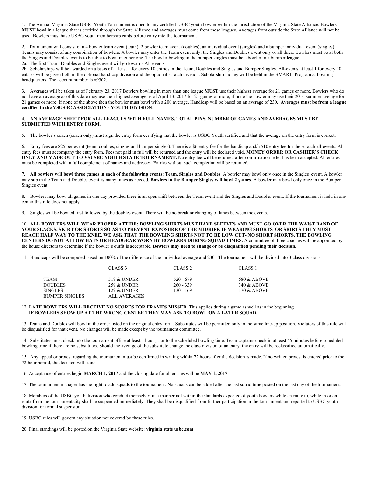1. The Annual Virginia State USBC Youth Tournament is open to any certified USBC youth bowler within the jurisdiction of the Virginia State Alliance. Bowlers **MUST** bowl in a league that is certified through the State Alliance and averages must come from these leagues. Averages from outside the State Alliance will not be used. Bowlers must have USBC youth membership cards before entry into the tournament.

2. Tournament will consist of a 4 bowler team event (team), 2 bowler team event (doubles), an individual event (singles) and a bumper individual event (singles). Teams may consist of any combination of bowlers. A bowler may enter the Team event only, the Singles and Doubles event only or all three. Bowlers must bowl both the Singles and Doubles events to be able to bowl in either one. The bowler bowling in the bumper singles must be a bowler in a bumper league. 2a. The first Team, Doubles and Singles event will go towards All-events.

2b. Scholarships will be awarded on a basis of at least 1 for every 10 entries in the Team, Doubles and Singles and Bumper Singles. All-events at least 1 for every 10 entries will be given both in the optional handicap division and the optional scratch division. Scholarship money will be held in the SMART Program at bowling headquarters. The account number is #9302.

3. Averages will be taken as of February 23, 2017 Bowlers bowling in more than one league **MUST** use their highest average for 21 games or more. Bowlers who do not have an average as of this date may use their highest average as of April 13, 2017 for 21 games or more, if none the bowler may use their 2016 summer average for 21 games or more. If none of the above then the bowler must bowl with a 200 average. Handicap will be based on an average of 230. **Averages must be from a league certified in the VSUSBC ASSOCIATION - YOUTH DIVISION**.

#### 4. **AN AVERAGE SHEET FOR ALL LEAGUES WITH FULL NAMES, TOTAL PINS, NUMBER OF GAMES AND AVERAGES MUST BE SUBMITTED WITH ENTRY FORM.**

5. The bowler's coach (coach only) must sign the entry form certifying that the bowler is USBC Youth certified and that the average on the entry form is correct.

6. Entry fees are \$25 per event (team, doubles, singles and bumper singles). There is a \$6 entry fee for the handicap and/a \$10 entry fee for the scratch all-events. All entry fees must accompany the entry form. Fees not paid in full will be returned and the entry will be declared void. **MONEY ORDER OR CASHIER'S CHECK ONLY AND MADE OUT TO VSUSBC YOUTH STATE TOURNAMENT.** No entry fee will be returned after confirmation letter has been accepted. All entries must be completed with a full complement of names and addresses. Entries without such completion will be returned.

7. **All bowlers will bowl three games in each of the following events: Team, Singles and Doubles**. A bowler may bowl only once in the Singles event. A bowler may sub in the Team and Doubles event as many times as needed. **Bowlers in the Bumper Singles will bowl 2 games**. A bowler may bowl only once in the Bumper Singles event.

8. Bowlers may bowl all games in one day provided there is an open shift between the Team event and the Singles and Doubles event. If the tournament is held in one center this rule does not apply.

9. Singles will be bowled first followed by the doubles event. There will be no break or changing of lanes between the events.

10. **ALL BOWLERS WILL WEAR PROPER ATTIRE: BOWLING SHIRTS MUST HAVE SLEEVES AND MUST GO OVER THE WAIST BAND OF YOUR SLACKS, SKIRT OR SHORTS SO AS TO PREVENT EXPOSURE OF THE MIDRIFF. IF WEARING SHORTS OR SKIRTS THEY MUST REACH HALF WAY TO THE KNEE. WE ASK THAT THE BOWLING SHIRTS NOT TO BE LOW CUT- NO SHORT SHORTS. THE BOWLING CENTERS DO NOT ALLOW HATS OR HEADGEAR WORN BY BOWLERS DURING SQUAD TIMES.** A committee of three coaches will be appointed by the house directors to determine if the bowler's outfit is acceptable. **Bowlers may need to change or be disqualified pending their decision.** 

11. Handicaps will be computed based on 100% of the difference of the individual average and 230. The tournament will be divided into 3 class divisions.

|                | CLASS <sub>3</sub> | CLASS <sub>2</sub> | CLASS <sub>1</sub> |
|----------------|--------------------|--------------------|--------------------|
| TEAM           | 519 & UNDER        | 520 - 679          | 680 & ABOVE        |
| DOUBLES        | 259 & UNDER        | $260 - 339$        | 340 & ABOVE        |
| SINGLES-       | 129 & UNDER        | $130 - 169$        | 170 & ABOVE        |
| BUMPER SINGLES | ALL AVERAGES       |                    |                    |

#### 12. **LATE BOWLERS WILL RECEIVE NO SCORES FOR FRAMES MISSED.** This applies during a game as well as in the beginning **IF BOWLERS SHOW UP AT THE WRONG CENTER THEY MAY ASK TO BOWL ON A LATER SQUAD.**

13. Teams and Doubles will bowl in the order listed on the original entry form. Substitutes will be permitted only in the same line-up position. Violators of this rule will be disqualified for that event. No changes will be made except by the tournament committee.

14. Substitutes must check into the tournament office at least 1 hour prior to the scheduled bowling time. Team captains check in at least 45 minutes before scheduled bowling time if there are no substitutes. Should the average of the substitute change the class division of an entry, the entry will be reclassified automatically.

15. Any appeal or protest regarding the tournament must be confirmed in writing within 72 hours after the decision is made. If no written protest is entered prior to the 72 hour period, the decision will stand.

16. Acceptance of entries begin **MARCH 1, 2017** and the closing date for all entries will be **MAY 1, 2017**.

17. The tournament manager has the right to add squads to the tournament. No squads can be added after the last squad time posted on the last day of the tournament.

18. Members of the USBC youth division who conduct themselves in a manner not within the standards expected of youth bowlers while en route to, while in or en route from the tournament city shall be suspended immediately. They shall be disqualified from further participation in the tournament and reported to USBC youth division for formal suspension.

19. USBC rules will govern any situation not covered by these rules.

20. Final standings will be posted on the Virginia State website: **virginia state usbc.com**